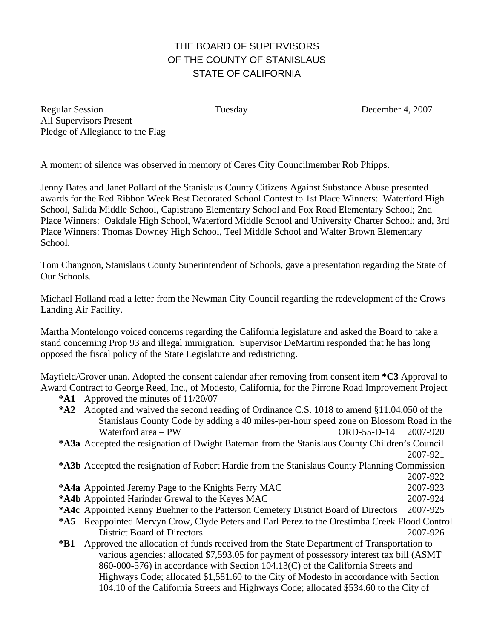## THE BOARD OF SUPERVISORS OF THE COUNTY OF STANISLAUS STATE OF CALIFORNIA

Regular Session Tuesday December 4, 2007 All Supervisors Present Pledge of Allegiance to the Flag

A moment of silence was observed in memory of Ceres City Councilmember Rob Phipps.

Jenny Bates and Janet Pollard of the Stanislaus County Citizens Against Substance Abuse presented awards for the Red Ribbon Week Best Decorated School Contest to 1st Place Winners: Waterford High School, Salida Middle School, Capistrano Elementary School and Fox Road Elementary School; 2nd Place Winners: Oakdale High School, Waterford Middle School and University Charter School; and, 3rd Place Winners: Thomas Downey High School, Teel Middle School and Walter Brown Elementary School.

Tom Changnon, Stanislaus County Superintendent of Schools, gave a presentation regarding the State of Our Schools.

Michael Holland read a letter from the Newman City Council regarding the redevelopment of the Crows Landing Air Facility.

Martha Montelongo voiced concerns regarding the California legislature and asked the Board to take a stand concerning Prop 93 and illegal immigration. Supervisor DeMartini responded that he has long opposed the fiscal policy of the State Legislature and redistricting.

Mayfield/Grover unan. Adopted the consent calendar after removing from consent item **\*C3** Approval to Award Contract to George Reed, Inc., of Modesto, California, for the Pirrone Road Improvement Project

**\*A1** Approved the minutes of 11/20/07

**\*A2** Adopted and waived the second reading of Ordinance C.S. 1018 to amend §11.04.050 of the Stanislaus County Code by adding a 40 miles-per-hour speed zone on Blossom Road in the Waterford area – PW ORD-55-D-14 2007-920

**\*A3a** Accepted the resignation of Dwight Bateman from the Stanislaus County Children's Council 2007-921

**\*A3b** Accepted the resignation of Robert Hardie from the Stanislaus County Planning Commission 2007-922

- **\*A4a** Appointed Jeremy Page to the Knights Ferry MAC 2007-923
- **\*A4b** Appointed Harinder Grewal to the Keyes MAC 2007-924
- **\*A4c** Appointed Kenny Buehner to the Patterson Cemetery District Board of Directors 2007-925
- **\*A5** Reappointed Mervyn Crow, Clyde Peters and Earl Perez to the Orestimba Creek Flood Control District Board of Directors 2007-926
- **\*B1** Approved the allocation of funds received from the State Department of Transportation to various agencies: allocated \$7,593.05 for payment of possessory interest tax bill (ASMT 860-000-576) in accordance with Section 104.13(C) of the California Streets and Highways Code; allocated \$1,581.60 to the City of Modesto in accordance with Section 104.10 of the California Streets and Highways Code; allocated \$534.60 to the City of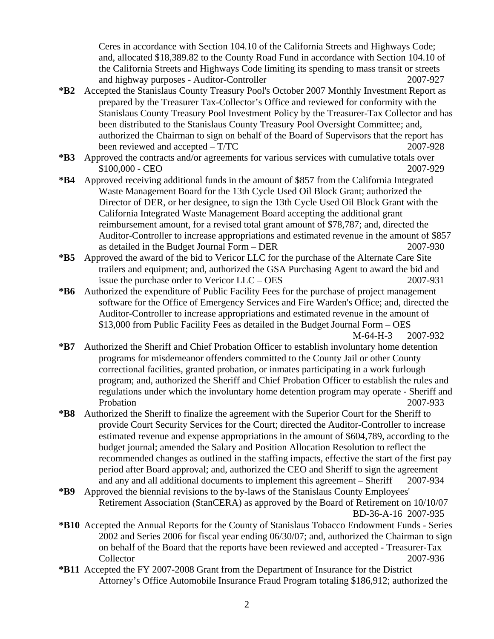Ceres in accordance with Section 104.10 of the California Streets and Highways Code; and, allocated \$18,389.82 to the County Road Fund in accordance with Section 104.10 of the California Streets and Highways Code limiting its spending to mass transit or streets and highway purposes - Auditor-Controller 2007-927

- **\*B2** Accepted the Stanislaus County Treasury Pool's October 2007 Monthly Investment Report as prepared by the Treasurer Tax-Collector's Office and reviewed for conformity with the Stanislaus County Treasury Pool Investment Policy by the Treasurer-Tax Collector and has been distributed to the Stanislaus County Treasury Pool Oversight Committee; and, authorized the Chairman to sign on behalf of the Board of Supervisors that the report has been reviewed and accepted – T/TC 2007-928
- **\*B3** Approved the contracts and/or agreements for various services with cumulative totals over \$100,000 - CEO2007-929
- **\*B4** Approved receiving additional funds in the amount of \$857 from the California Integrated Waste Management Board for the 13th Cycle Used Oil Block Grant; authorized the Director of DER, or her designee, to sign the 13th Cycle Used Oil Block Grant with the California Integrated Waste Management Board accepting the additional grant reimbursement amount, for a revised total grant amount of \$78,787; and, directed the Auditor-Controller to increase appropriations and estimated revenue in the amount of \$857 as detailed in the Budget Journal Form – DER 2007-930
- **\*B5** Approved the award of the bid to Vericor LLC for the purchase of the Alternate Care Site trailers and equipment; and, authorized the GSA Purchasing Agent to award the bid and issue the purchase order to Vericor LLC – OES 2007-931
- **\*B6** Authorized the expenditure of Public Facility Fees for the purchase of project management software for the Office of Emergency Services and Fire Warden's Office; and, directed the Auditor-Controller to increase appropriations and estimated revenue in the amount of \$13,000 from Public Facility Fees as detailed in the Budget Journal Form – OES M-64-H-3 2007-932

- **\*B7** Authorized the Sheriff and Chief Probation Officer to establish involuntary home detention programs for misdemeanor offenders committed to the County Jail or other County correctional facilities, granted probation, or inmates participating in a work furlough program; and, authorized the Sheriff and Chief Probation Officer to establish the rules and regulations under which the involuntary home detention program may operate - Sheriff and Probation 2007-933
- **\*B8** Authorized the Sheriff to finalize the agreement with the Superior Court for the Sheriff to provide Court Security Services for the Court; directed the Auditor-Controller to increase estimated revenue and expense appropriations in the amount of \$604,789, according to the budget journal; amended the Salary and Position Allocation Resolution to reflect the recommended changes as outlined in the staffing impacts, effective the start of the first pay period after Board approval; and, authorized the CEO and Sheriff to sign the agreement and any and all additional documents to implement this agreement – Sheriff 2007-934
- **\*B9** Approved the biennial revisions to the by-laws of the Stanislaus County Employees' Retirement Association (StanCERA) as approved by the Board of Retirement on 10/10/07 BD-36-A-16 2007-935
- **\*B10** Accepted the Annual Reports for the County of Stanislaus Tobacco Endowment Funds Series 2002 and Series 2006 for fiscal year ending 06/30/07; and, authorized the Chairman to sign on behalf of the Board that the reports have been reviewed and accepted - Treasurer-Tax Collector 2007-936
- **\*B11** Accepted the FY 2007-2008 Grant from the Department of Insurance for the District Attorney's Office Automobile Insurance Fraud Program totaling \$186,912; authorized the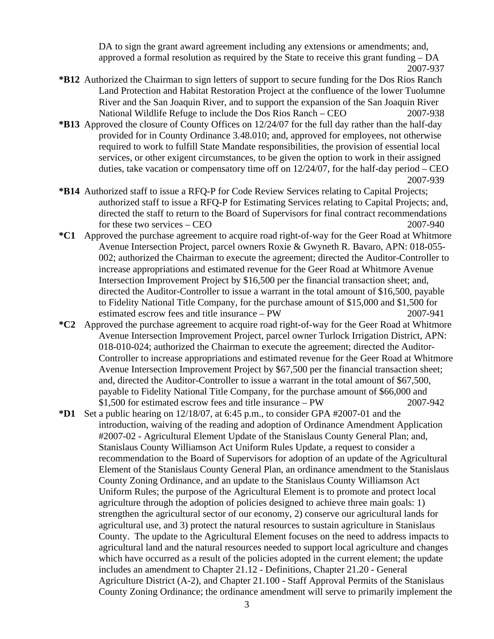DA to sign the grant award agreement including any extensions or amendments; and, approved a formal resolution as required by the State to receive this grant funding – DA 2007-937

- **\*B12** Authorized the Chairman to sign letters of support to secure funding for the Dos Rios Ranch Land Protection and Habitat Restoration Project at the confluence of the lower Tuolumne River and the San Joaquin River, and to support the expansion of the San Joaquin River National Wildlife Refuge to include the Dos Rios Ranch – CEO 2007-938
- **\*B13** Approved the closure of County Offices on 12/24/07 for the full day rather than the half-day provided for in County Ordinance 3.48.010; and, approved for employees, not otherwise required to work to fulfill State Mandate responsibilities, the provision of essential local services, or other exigent circumstances, to be given the option to work in their assigned duties, take vacation or compensatory time off on  $12/24/07$ , for the half-day period – CEO 2007-939
- **\*B14** Authorized staff to issue a RFQ-P for Code Review Services relating to Capital Projects; authorized staff to issue a RFQ-P for Estimating Services relating to Capital Projects; and, directed the staff to return to the Board of Supervisors for final contract recommendations for these two services – CEO 2007-940
- **\*C1** Approved the purchase agreement to acquire road right-of-way for the Geer Road at Whitmore Avenue Intersection Project, parcel owners Roxie & Gwyneth R. Bavaro, APN: 018-055- 002; authorized the Chairman to execute the agreement; directed the Auditor-Controller to increase appropriations and estimated revenue for the Geer Road at Whitmore Avenue Intersection Improvement Project by \$16,500 per the financial transaction sheet; and, directed the Auditor-Controller to issue a warrant in the total amount of \$16,500, payable to Fidelity National Title Company, for the purchase amount of \$15,000 and \$1,500 for estimated escrow fees and title insurance – PW 2007-941
- **\*C2** Approved the purchase agreement to acquire road right-of-way for the Geer Road at Whitmore Avenue Intersection Improvement Project, parcel owner Turlock Irrigation District, APN: 018-010-024; authorized the Chairman to execute the agreement; directed the Auditor-Controller to increase appropriations and estimated revenue for the Geer Road at Whitmore Avenue Intersection Improvement Project by \$67,500 per the financial transaction sheet; and, directed the Auditor-Controller to issue a warrant in the total amount of \$67,500, payable to Fidelity National Title Company, for the purchase amount of \$66,000 and \$1,500 for estimated escrow fees and title insurance – PW 2007-942
- **\*D1** Set a public hearing on 12/18/07, at 6:45 p.m., to consider GPA #2007-01 and the introduction, waiving of the reading and adoption of Ordinance Amendment Application #2007-02 - Agricultural Element Update of the Stanislaus County General Plan; and, Stanislaus County Williamson Act Uniform Rules Update, a request to consider a recommendation to the Board of Supervisors for adoption of an update of the Agricultural Element of the Stanislaus County General Plan, an ordinance amendment to the Stanislaus County Zoning Ordinance, and an update to the Stanislaus County Williamson Act Uniform Rules; the purpose of the Agricultural Element is to promote and protect local agriculture through the adoption of policies designed to achieve three main goals: 1) strengthen the agricultural sector of our economy, 2) conserve our agricultural lands for agricultural use, and 3) protect the natural resources to sustain agriculture in Stanislaus County. The update to the Agricultural Element focuses on the need to address impacts to agricultural land and the natural resources needed to support local agriculture and changes which have occurred as a result of the policies adopted in the current element; the update includes an amendment to Chapter 21.12 - Definitions, Chapter 21.20 - General Agriculture District (A-2), and Chapter 21.100 - Staff Approval Permits of the Stanislaus County Zoning Ordinance; the ordinance amendment will serve to primarily implement the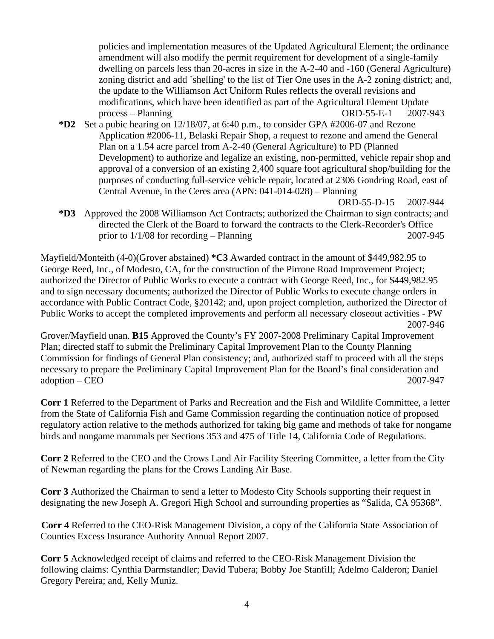policies and implementation measures of the Updated Agricultural Element; the ordinance amendment will also modify the permit requirement for development of a single-family dwelling on parcels less than 20-acres in size in the A-2-40 and -160 (General Agriculture) zoning district and add `shelling' to the list of Tier One uses in the A-2 zoning district; and, the update to the Williamson Act Uniform Rules reflects the overall revisions and modifications, which have been identified as part of the Agricultural Element Update process – Planning ORD-55-E-1 2007-943

- **\*D2** Set a pubic hearing on 12/18/07, at 6:40 p.m., to consider GPA #2006-07 and Rezone Application #2006-11, Belaski Repair Shop, a request to rezone and amend the General Plan on a 1.54 acre parcel from A-2-40 (General Agriculture) to PD (Planned Development) to authorize and legalize an existing, non-permitted, vehicle repair shop and approval of a conversion of an existing 2,400 square foot agricultural shop/building for the purposes of conducting full-service vehicle repair, located at 2306 Gondring Road, east of Central Avenue, in the Ceres area (APN: 041-014-028) – Planning
	- ORD-55-D-15 2007-944
- **\*D3** Approved the 2008 Williamson Act Contracts; authorized the Chairman to sign contracts; and directed the Clerk of the Board to forward the contracts to the Clerk-Recorder's Office prior to  $1/1/08$  for recording – Planning 2007-945

Mayfield/Monteith (4-0)(Grover abstained) **\*C3** Awarded contract in the amount of \$449,982.95 to George Reed, Inc., of Modesto, CA, for the construction of the Pirrone Road Improvement Project; authorized the Director of Public Works to execute a contract with George Reed, Inc., for \$449,982.95 and to sign necessary documents; authorized the Director of Public Works to execute change orders in accordance with Public Contract Code, §20142; and, upon project completion, authorized the Director of Public Works to accept the completed improvements and perform all necessary closeout activities - PW 2007-946

Grover/Mayfield unan. **B15** Approved the County's FY 2007-2008 Preliminary Capital Improvement Plan; directed staff to submit the Preliminary Capital Improvement Plan to the County Planning Commission for findings of General Plan consistency; and, authorized staff to proceed with all the steps necessary to prepare the Preliminary Capital Improvement Plan for the Board's final consideration and adoption – CEO 2007-947

**Corr 1** Referred to the Department of Parks and Recreation and the Fish and Wildlife Committee, a letter from the State of California Fish and Game Commission regarding the continuation notice of proposed regulatory action relative to the methods authorized for taking big game and methods of take for nongame birds and nongame mammals per Sections 353 and 475 of Title 14, California Code of Regulations.

**Corr 2** Referred to the CEO and the Crows Land Air Facility Steering Committee, a letter from the City of Newman regarding the plans for the Crows Landing Air Base.

**Corr 3** Authorized the Chairman to send a letter to Modesto City Schools supporting their request in designating the new Joseph A. Gregori High School and surrounding properties as "Salida, CA 95368".

**Corr 4** Referred to the CEO-Risk Management Division, a copy of the California State Association of Counties Excess Insurance Authority Annual Report 2007.

**Corr 5** Acknowledged receipt of claims and referred to the CEO-Risk Management Division the following claims: Cynthia Darmstandler; David Tubera; Bobby Joe Stanfill; Adelmo Calderon; Daniel Gregory Pereira; and, Kelly Muniz.